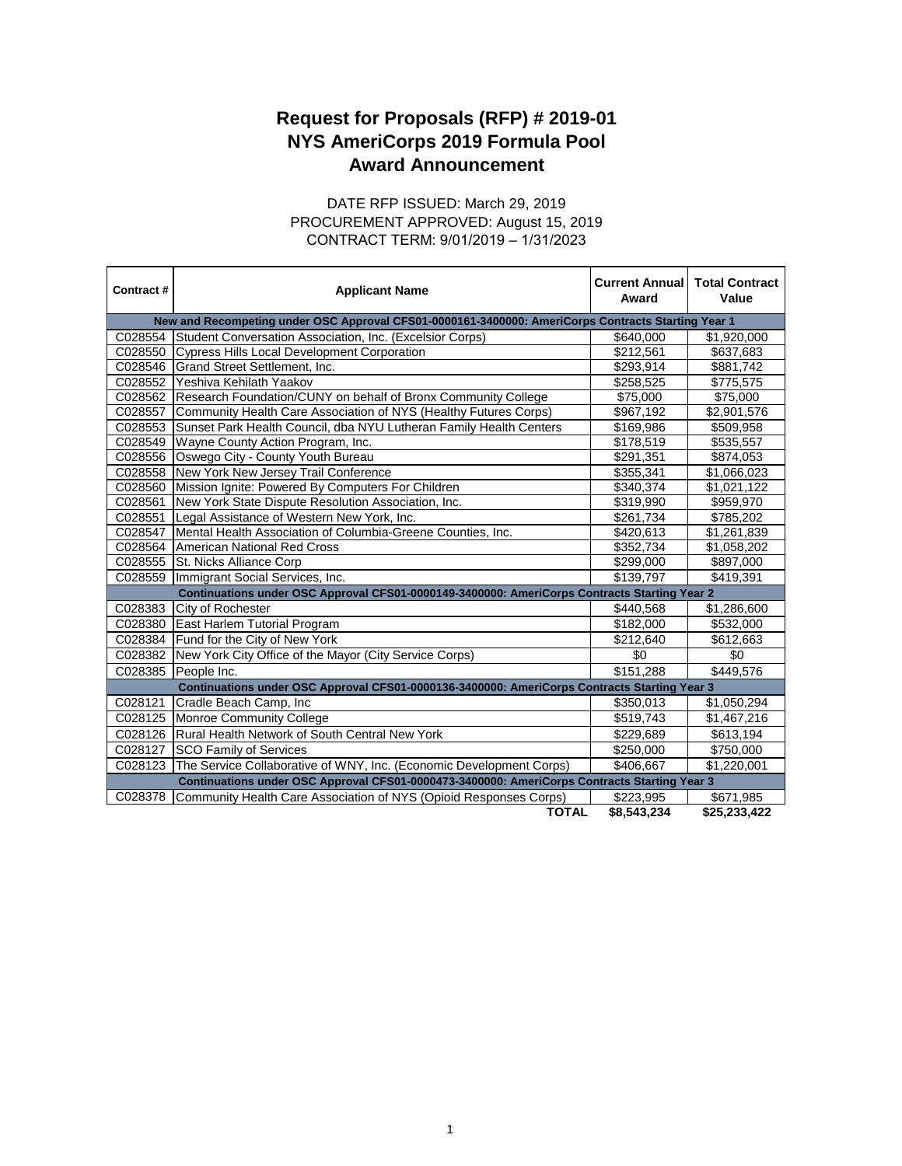## **Award Announcement Request for Proposals (RFP) # 2019-01 NYS AmeriCorps 2019 Formula Pool**

## CONTRACT TERM: 9/01/2019 – 1/31/2023 DATE RFP ISSUED: March 29, 2019 PROCUREMENT APPROVED: August 15, 2019

| Contract#                                                                                          | <b>Applicant Name</b>                                               | <b>Current Annual</b><br>Award | <b>Total Contract</b><br>Value |  |
|----------------------------------------------------------------------------------------------------|---------------------------------------------------------------------|--------------------------------|--------------------------------|--|
| New and Recompeting under OSC Approval CFS01-0000161-3400000: AmeriCorps Contracts Starting Year 1 |                                                                     |                                |                                |  |
| C028554                                                                                            | Student Conversation Association, Inc. (Excelsior Corps)            | \$640,000                      | \$1,920,000                    |  |
| C028550                                                                                            | <b>Cypress Hills Local Development Corporation</b>                  | \$212,561                      | \$637,683                      |  |
| C028546                                                                                            | Grand Street Settlement, Inc.                                       | \$293,914                      | \$881,742                      |  |
| C028552                                                                                            | Yeshiva Kehilath Yaakov                                             | \$258,525                      | \$775,575                      |  |
| C028562                                                                                            | Research Foundation/CUNY on behalf of Bronx Community College       | \$75,000                       | \$75,000                       |  |
| C028557                                                                                            | Community Health Care Association of NYS (Healthy Futures Corps)    | \$967,192                      | \$2,901,576                    |  |
| C028553                                                                                            | Sunset Park Health Council, dba NYU Lutheran Family Health Centers  | \$169,986                      | \$509,958                      |  |
| C028549                                                                                            | Wayne County Action Program, Inc.                                   | \$178,519                      | \$535,557                      |  |
| C028556                                                                                            | Oswego City - County Youth Bureau                                   | \$291,351                      | \$874,053                      |  |
| C028558                                                                                            | New York New Jersey Trail Conference                                | \$355,341                      | \$1,066,023                    |  |
| C028560                                                                                            | Mission Ignite: Powered By Computers For Children                   | \$340,374                      | \$1,021,122                    |  |
| C028561                                                                                            | New York State Dispute Resolution Association, Inc.                 | \$319,990                      | \$959,970                      |  |
| C028551                                                                                            | Legal Assistance of Western New York, Inc.                          | \$261,734                      | \$785,202                      |  |
| C028547                                                                                            | Mental Health Association of Columbia-Greene Counties, Inc.         | \$420,613                      | \$1,261,839                    |  |
| C028564                                                                                            | American National Red Cross                                         | \$352,734                      | \$1,058,202                    |  |
| C028555                                                                                            | St. Nicks Alliance Corp                                             | \$299,000                      | \$897,000                      |  |
| C028559                                                                                            | Immigrant Social Services, Inc.                                     | \$139,797                      | \$419,391                      |  |
| Continuations under OSC Approval CFS01-0000149-3400000: AmeriCorps Contracts Starting Year 2       |                                                                     |                                |                                |  |
| C028383                                                                                            | City of Rochester                                                   | \$440,568                      | \$1,286,600                    |  |
| C028380                                                                                            | East Harlem Tutorial Program                                        | \$182,000                      | \$532,000                      |  |
| C028384                                                                                            | Fund for the City of New York                                       | \$212,640                      | \$612,663                      |  |
| C028382                                                                                            | New York City Office of the Mayor (City Service Corps)              | \$0                            | \$0                            |  |
| C028385                                                                                            | People Inc.                                                         | \$151,288                      | \$449,576                      |  |
| Continuations under OSC Approval CFS01-0000136-3400000: AmeriCorps Contracts Starting Year 3       |                                                                     |                                |                                |  |
| C028121                                                                                            | Cradle Beach Camp, Inc.                                             | \$350,013                      | \$1,050,294                    |  |
| C028125                                                                                            | Monroe Community College                                            | \$519,743                      | \$1,467,216                    |  |
| C028126                                                                                            | Rural Health Network of South Central New York                      | \$229,689                      | \$613,194                      |  |
| C028127                                                                                            | <b>SCO Family of Services</b>                                       | \$250,000                      | \$750,000                      |  |
| C028123                                                                                            | The Service Collaborative of WNY, Inc. (Economic Development Corps) | \$406,667                      | \$1,220,001                    |  |
| Continuations under OSC Approval CFS01-0000473-3400000: AmeriCorps Contracts Starting Year 3       |                                                                     |                                |                                |  |
| C028378                                                                                            | Community Health Care Association of NYS (Opioid Responses Corps)   | \$223,995                      | \$671,985                      |  |
|                                                                                                    | <b>TOTAL</b>                                                        | \$8.543.234                    | \$25,233,422                   |  |